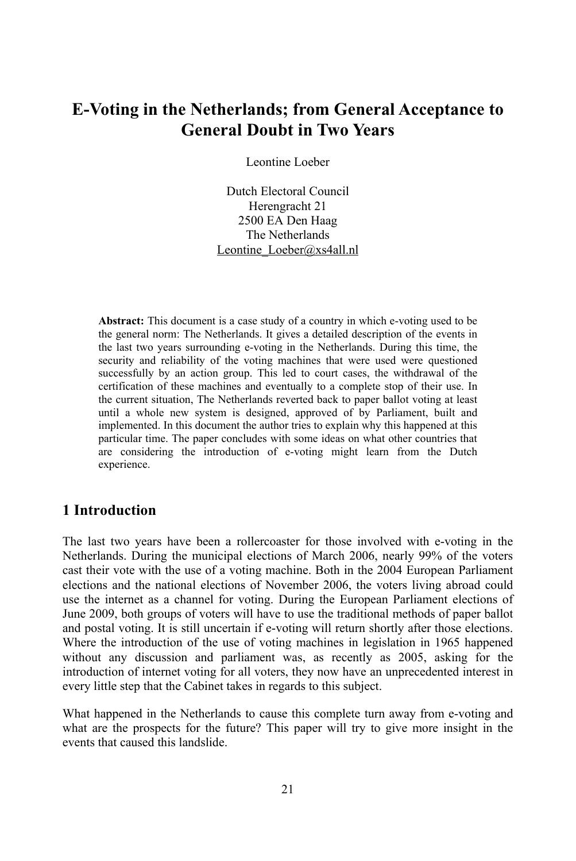# **in the Netherlands; from General Acceptance to lands; from General**<br>**Doubt in Two Years**

Leontine Loeber

Dutch Electoral Council Herengracht 21 2500 EA Den Haag The Netherlands Leontine\_Loeber@xs4all.nl

Abstract: This document is a case study of a country in which e-voting used to be the general norm: The Netherlands. It gives a detailed description of the events in the last two years surrounding e-voting in the Netherlands. During this time, the security and reliability of the voting machines that were used were questioned successfully by an action group. This led to court cases, the withdrawal of the certification of these machines and eventually to a complete stop of their use. In the current situation, The Netherlands reverted back to paper ballot voting at least until a whole new system is designed, approved of by Parliament, built and implemented. In this document the author tries to explain why this happened at this particular time. The paper concludes with some ideas on what other countries that are considering the introduction of e-voting might learn from the Dutch experience.

# **Introduction**

The last two years have been a rollercoaster for those involved with e-voting in the Netherlands. During the municipal elections of March 2006, nearly 99% of the voters cast their vote with the use of a voting machine. Both in the 2004 European Parliament elections and the national elections of November 2006, the voters living abroad could use the internet as a channel for voting. During the European Parliament elections of June 2009, both groups of voters will have to use the traditional methods of paper ballot and postal voting. It is still uncertain if e-voting will return shortly after those elections. Where the introduction of the use of voting machines in legislation in 1965 happened without any discussion and parliament was, as recently as 2005, asking for the introduction of internet voting for all voters, they now have an unprecedented interest in every little step that the Cabinet takes in regards to this subject.

What happened in the Netherlands to cause this complete turn away from e-voting and what are the prospects for the future? This paper will try to give more insight in the events that caused this landslide.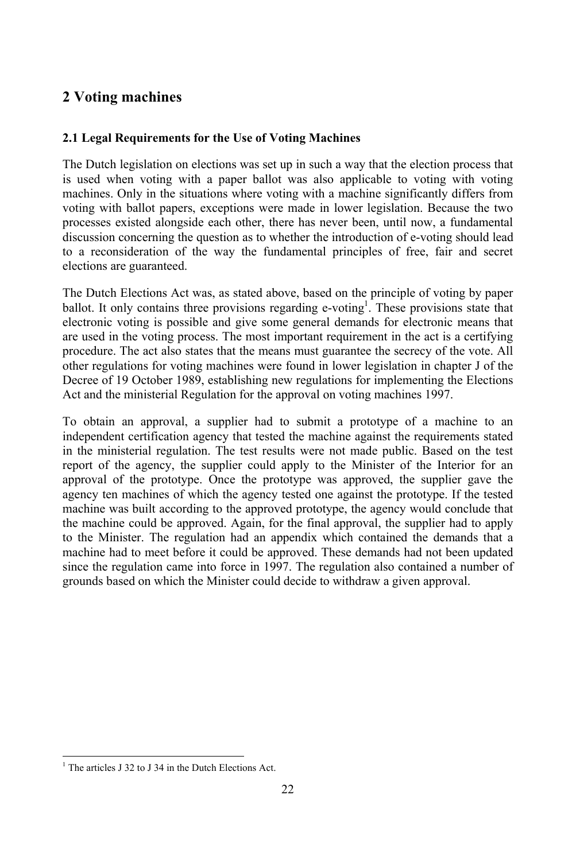# **Voting machines 2.1**

# **Legal Requirements for the Use of Voting Machines**

The Dutch legislation on elections was set up in such a way that the election process that is used when voting with a paper ballot was also applicable to voting with voting machines. Only in the situations where voting with a machine significantly differs from voting with ballot papers, exceptions were made in lower legislation. Because the two processes existed alongside each other, there has never been, until now, a fundamental discussion concerning the question as to whether the introduction of e-voting should lead to a reconsideration of the way the fundamental principles of free, fair and secret elections are guaranteed.

The Dutch Elections Act was, as stated above, based on the principle of voting by paper ballot. It only contains three provisions regarding e-voting<sup>1</sup>. These provisions state that electronic voting is possible and give some general demands for electronic means that are used in the voting process. The most important requirement in the act is a certifying procedure. The act also states that the means must guarantee the secrecy of the vote. All other regulations for voting machines were found in lower legislation in chapter J of the Decree of 19 October 1989, establishing new regulations for implementing the Elections Act and the ministerial Regulation for the approval on voting machines 1997.

To obtain an approval, a supplier had to submit a prototype of a machine to an independent certification agency that tested the machine against the requirements stated in the ministerial regulation. The test results were not made public. Based on the test report of the agency, the supplier could apply to the Minister of the Interior for an approval of the prototype. Once the prototype was approved, the supplier gave the agency ten machines of which the agency tested one against the prototype. If the tested machine was built according to the approved prototype, the agency would conclude that the machine could be approved. Again, for the final approval, the supplier had to apply to the Minister. The regulation had an appendix which contained the demands that a machine had to meet before it could be approved. These demands had not been updated since the regulation came into force in 1997. The regulation also contained a number of grounds based on which the Minister could decide to withdraw a given approval.

 $<sup>1</sup>$  The articles J 32 to J 34 in the Dutch Elections Act.</sup>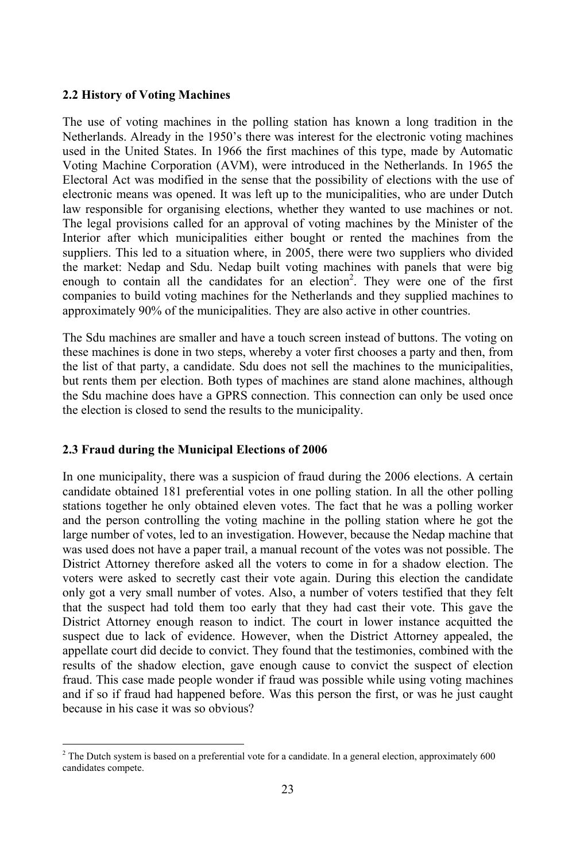## **History of Voting Machines**

The use of voting machines in the polling station has known a long tradition in the Netherlands. Already in the 1950's there was interest for the electronic voting machines used in the United States. In 1966 the first machines of this type, made by Automatic Voting Machine Corporation (AVM), were introduced in the Netherlands. In 1965 the Electoral Act was modified in the sense that the possibility of elections with the use of electronic means was opened. It was left up to the municipalities, who are under Dutch law responsible for organising elections, whether they wanted to use machines or not. The legal provisions called for an approval of voting machines by the Minister of the Interior after which municipalities either bought or rented the machines from the suppliers. This led to a situation where, in 2005, there were two suppliers who divided the market: Nedap and Sdu. Nedap built voting machines with panels that were big enough to contain all the candidates for an election<sup>2</sup>. They were one of the first companies to build voting machines for the Netherlands and they supplied machines to approximately 90% of the municipalities. They are also active in other countries.

The Sdu machines are smaller and have a touch screen instead of buttons. The voting on these machines is done in two steps, whereby a voter first chooses a party and then, from the list of that party, a candidate. Sdu does not sell the machines to the municipalities, but rents them per election. Both types of machines are stand alone machines, although the Sdu machine does have a GPRS connection. This connection can only be used once the election is closed to send the results to the municipality. **2.3 Fraud during the Municipal Elections of <sup>2006</sup>**

In one municipality, there was a suspicion of fraud during the 2006 elections. A certain candidate obtained 181 preferential votes in one polling station. In all the other polling stations together he only obtained eleven votes. The fact that he was a polling worker and the person controlling the voting machine in the polling station where he got the large number of votes, led to an investigation. However, because the Nedap machine that was used does not have a paper trail, a manual recount of the votes was not possible. The District Attorney therefore asked all the voters to come in for a shadow election. The voters were asked to secretly cast their vote again. During this election the candidate only got a very small number of votes. Also, a number of voters testified that they felt that the suspect had told them too early that they had cast their vote. This gave the District Attorney enough reason to indict. The court in lower instance acquitted the suspect due to lack of evidence. However, when the District Attorney appealed, the appellate court did decide to convict. They found that the testimonies, combined with the results of the shadow election, gave enough cause to convict the suspect of election fraud. This case made people wonder if fraud was possible while using voting machines and if so if fraud had happened before. Was this person the first, or was he just caught because in his case it was so obvious?

<sup>&</sup>lt;sup>2</sup> The Dutch system is based on a preferential vote for a candidate. In a general election, approximately 600 candidates compete.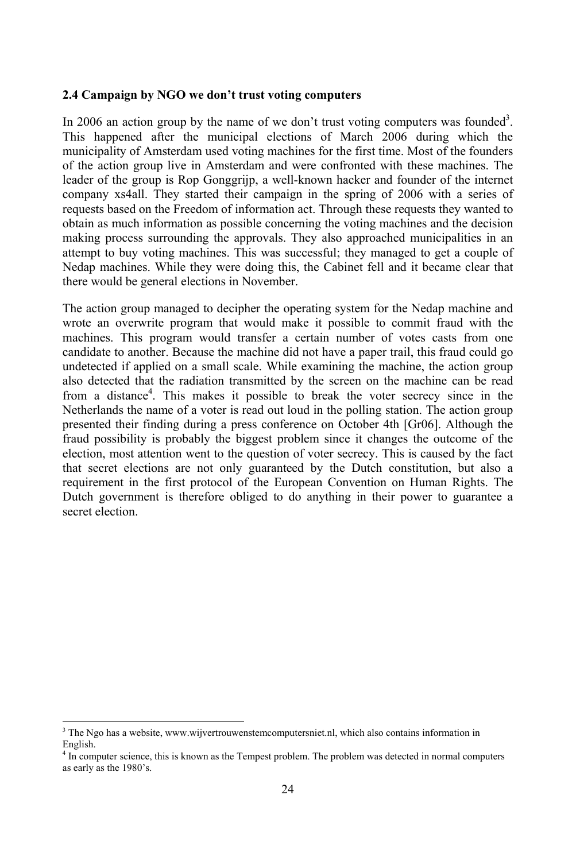### **Campaign by NGO we don't trust voting computers**

In 2006 an action group by the name of we don't trust voting computers was founded<sup>3</sup>. This happened after the municipal elections of March 2006 during which the municipality of Amsterdam used voting machines for the first time. Most of the founders of the action group live in Amsterdam and were confronted with these machines. The leader of the group is Rop Gonggrijp, a well-known hacker and founder of the internet company xs4all. They started their campaign in the spring of 2006 with a series of requests based on the Freedom of information act. Through these requests they wanted to obtain as much information as possible concerning the voting machines and the decision making process surrounding the approvals. They also approached municipalities in an attempt to buy voting machines. This was successful; they managed to get a couple of Nedap machines. While they were doing this, the Cabinet fell and it became clear that there would be general elections in November.

The action group managed to decipher the operating system for the Nedap machine and wrote an overwrite program that would make it possible to commit fraud with the machines. This program would transfer a certain number of votes casts from one candidate to another. Because the machine did not have a paper trail, this fraud could go undetected if applied on a small scale. While examining the machine, the action group also detected that the radiation transmitted by the screen on the machine can be read from a distance<sup>4</sup>. This makes it possible to break the voter secrecy since in the Netherlands the name of a voter is read out loud in the polling station. The action group presented their finding during a press conference on October 4th [Gr06]. Although the fraud possibility is probably the biggest problem since it changes the outcome of the election, most attention went to the question of voter secrecy. This is caused by the fact that secret elections are not only guaranteed by the Dutch constitution, but also a requirement in the first protocol of the European Convention on Human Rights. The Dutch government is therefore obliged to do anything in their power to guarantee a secret election.

<sup>3</sup> The Ngo has a website, www.wijvertrouwenstemcomputersniet.nl, which also contains information in English.

<sup>4</sup> In computer science, this is known as the Tempest problem. The problem was detected in normal computers as early as the 1980's.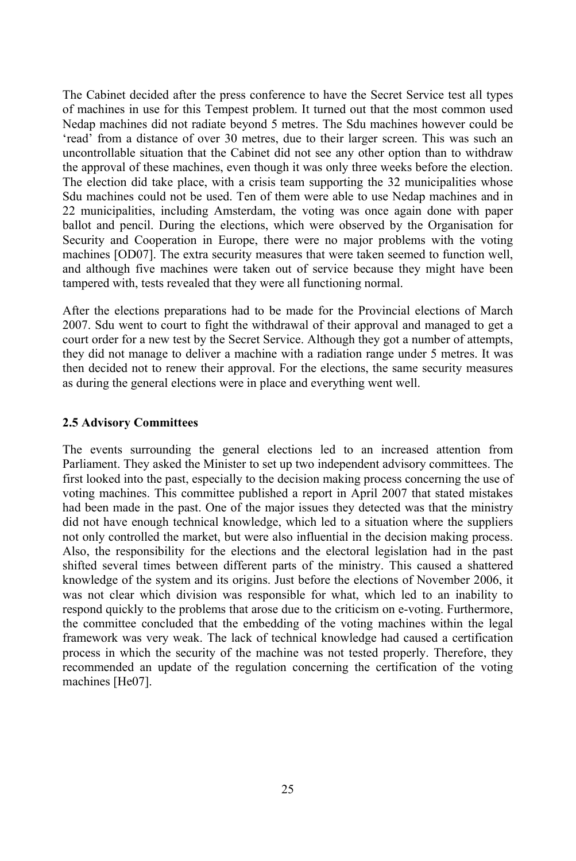The Cabinet decided after the press conference to have the Secret Service test all types of machines in use for this Tempest problem. It turned out that the most common used Nedap machines did not radiate beyond 5 metres. The Sdu machines however could be 'read' from a distance of over 30 metres, due to their larger screen. This was such an uncontrollable situation that the Cabinet did not see any other option than to withdraw the approval of these machines, even though it was only three weeks before the election. The election did take place, with a crisis team supporting the 32 municipalities whose Sdu machines could not be used. Ten of them were able to use Nedap machines and in 22 municipalities, including Amsterdam, the voting was once again done with paper ballot and pencil. During the elections, which were observed by the Organisation for Security and Cooperation in Europe, there were no major problems with the voting machines [OD07]. The extra security measures that were taken seemed to function well, and although five machines were taken out of service because they might have been tampered with, tests revealed that they were all functioning normal.

After the elections preparations had to be made for the Provincial elections of March 2007. Sdu went to court to fight the withdrawal of their approval and managed to get a court order for a new test by the Secret Service. Although they got a number of attempts, they did not manage to deliver a machine with a radiation range under 5 metres. It was then decided not to renew their approval. For the elections, the same security measures as during the general elections were in place and everything went well. **2.5 Advisory Committees**

The events surrounding the general elections led to an increased attention from Parliament. They asked the Minister to set up two independent advisory committees. The first looked into the past, especially to the decision making process concerning the use of voting machines. This committee published a report in April 2007 that stated mistakes had been made in the past. One of the major issues they detected was that the ministry did not have enough technical knowledge, which led to a situation where the suppliers not only controlled the market, but were also influential in the decision making process. Also, the responsibility for the elections and the electoral legislation had in the past shifted several times between different parts of the ministry. This caused a shattered knowledge of the system and its origins. Just before the elections of November 2006, it was not clear which division was responsible for what, which led to an inability to respond quickly to the problems that arose due to the criticism on e-voting. Furthermore, the committee concluded that the embedding of the voting machines within the legal framework was very weak. The lack of technical knowledge had caused a certification process in which the security of the machine was not tested properly. Therefore, they recommended an update of the regulation concerning the certification of the voting machines [He07].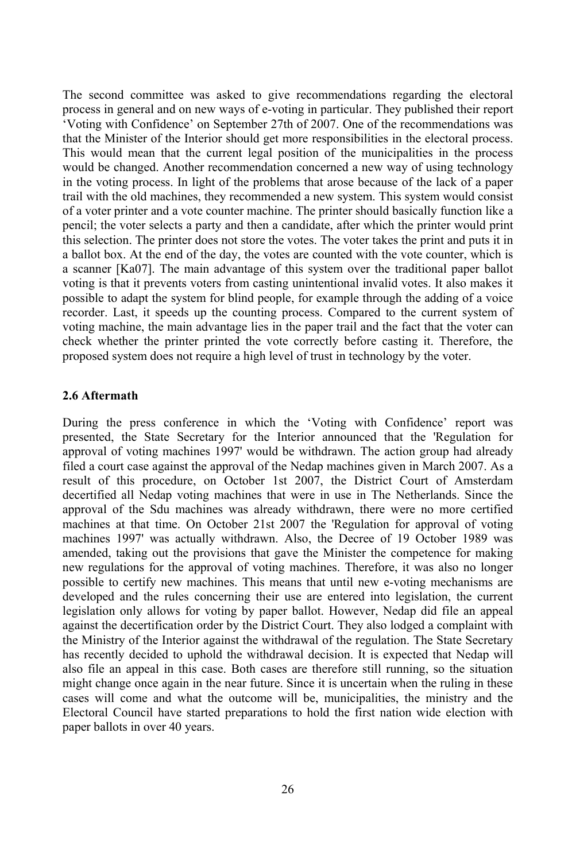The second committee was asked to give recommendations regarding the electoral process in general and on new ways of e-voting in particular. They published their report 'Voting with Confidence' on September 27th of 2007. One of the recommendations was that the Minister of the Interior should get more responsibilities in the electoral process. This would mean that the current legal position of the municipalities in the process would be changed. Another recommendation concerned a new way of using technology in the voting process. In light of the problems that arose because of the lack of a paper trail with the old machines, they recommended a new system. This system would consist of a voter printer and a vote counter machine. The printer should basically function like a pencil; the voter selects a party and then a candidate, after which the printer would print this selection. The printer does not store the votes. The voter takes the print and puts it in a ballot box. At the end of the day, the votes are counted with the vote counter, which is a scanner [Ka07]. The main advantage of this system over the traditional paper ballot voting is that it prevents voters from casting unintentional invalid votes. It also makes it possible to adapt the system for blind people, for example through the adding of a voice recorder. Last, it speeds up the counting process. Compared to the current system of voting machine, the main advantage lies in the paper trail and the fact that the voter can check whether the printer printed the vote correctly before casting it. Therefore, the proposed system does not require a high level of trust in technology by the voter. **2.6 Aftermath**

During the press conference in which the 'Voting with Confidence' report was presented, the State Secretary for the Interior announced that the 'Regulation for approval of voting machines 1997' would be withdrawn. The action group had already filed a court case against the approval of the Nedap machines given in March 2007. As a result of this procedure, on October 1st 2007, the District Court of Amsterdam decertified all Nedap voting machines that were in use in The Netherlands. Since the approval of the Sdu machines was already withdrawn, there were no more certified machines at that time. On October 21st 2007 the 'Regulation for approval of voting machines 1997' was actually withdrawn. Also, the Decree of 19 October 1989 was amended, taking out the provisions that gave the Minister the competence for making new regulations for the approval of voting machines. Therefore, it was also no longer possible to certify new machines. This means that until new e-voting mechanisms are developed and the rules concerning their use are entered into legislation, the current legislation only allows for voting by paper ballot. However, Nedap did file an appeal against the decertification order by the District Court. They also lodged a complaint with the Ministry of the Interior against the withdrawal of the regulation. The State Secretary has recently decided to uphold the withdrawal decision. It is expected that Nedap will also file an appeal in this case. Both cases are therefore still running, so the situation might change once again in the near future. Since it is uncertain when the ruling in these cases will come and what the outcome will be, municipalities, the ministry and the Electoral Council have started preparations to hold the first nation wide election with paper ballots in over 40 years.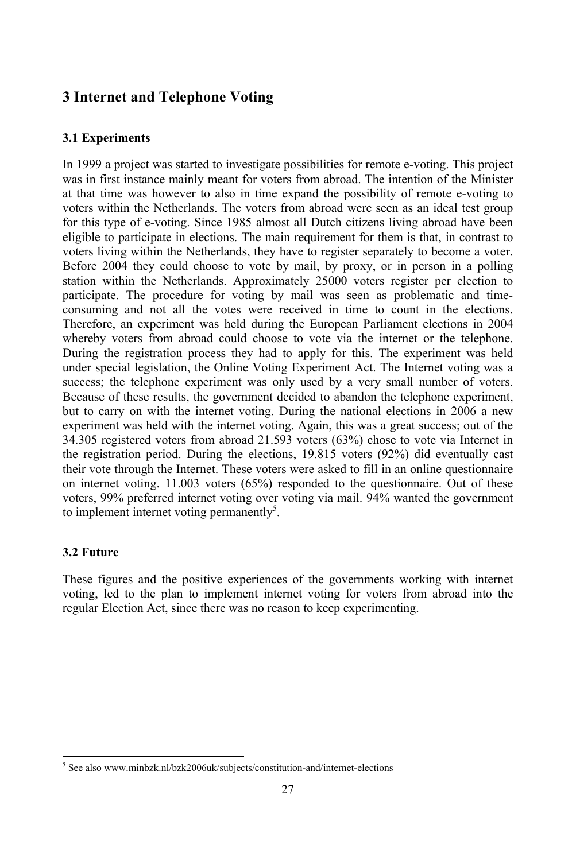# **Internet and Telephone Voting 3.1 Experiments**

In 1999 a project was started to investigate possibilities for remote e-voting. This project was in first instance mainly meant for voters from abroad. The intention of the Minister at that time was however to also in time expand the possibility of remote e-voting to voters within the Netherlands. The voters from abroad were seen as an ideal test group for this type of e-voting. Since 1985 almost all Dutch citizens living abroad have been eligible to participate in elections. The main requirement for them is that, in contrast to voters living within the Netherlands, they have to register separately to become a voter. Before 2004 they could choose to vote by mail, by proxy, or in person in a polling station within the Netherlands. Approximately 25000 voters register per election to participate. The procedure for voting by mail was seen as problematic and timeconsuming and not all the votes were received in time to count in the elections. Therefore, an experiment was held during the European Parliament elections in 2004 whereby voters from abroad could choose to vote via the internet or the telephone. During the registration process they had to apply for this. The experiment was held under special legislation, the Online Voting Experiment Act. The Internet voting was a success; the telephone experiment was only used by a very small number of voters. Because of these results, the government decided to abandon the telephone experiment, but to carry on with the internet voting. During the national elections in 2006 a new experiment was held with the internet voting. Again, this was a great success; out of the 34.305 registered voters from abroad 21.593 voters (63%) chose to vote via Internet in the registration period. During the elections, 19.815 voters (92%) did eventually cast their vote through the Internet. These voters were asked to fill in an online questionnaire on internet voting. 11.003 voters (65%) responded to the questionnaire. Out of these voters, 99% preferred internet voting over voting via mail. 94% wanted the government to implement internet voting permanently<sup>5</sup>.<br>**3.2** Future

These figures and the positive experiences of the governments working with internet voting, led to the plan to implement internet voting for voters from abroad into the regular Election Act, since there was no reason to keep experimenting.

<sup>&</sup>lt;sup>5</sup> See also www.minbzk.nl/bzk2006uk/subjects/constitution-and/internet-elections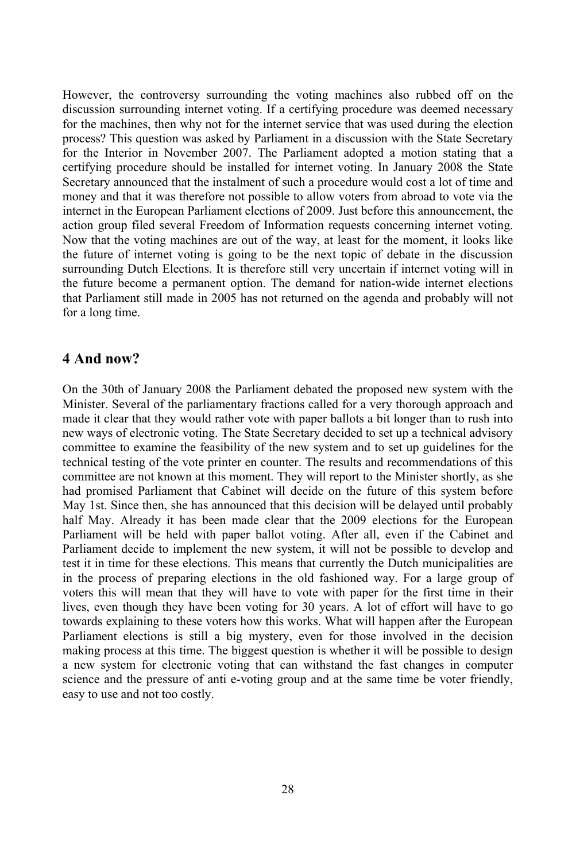However, the controversy surrounding the voting machines also rubbed off on the discussion surrounding internet voting. If a certifying procedure was deemed necessary for the machines, then why not for the internet service that was used during the election process? This question was asked by Parliament in a discussion with the State Secretary for the Interior in November 2007. The Parliament adopted a motion stating that a certifying procedure should be installed for internet voting. In January 2008 the State Secretary announced that the instalment of such a procedure would cost a lot of time and money and that it was therefore not possible to allow voters from abroad to vote via the internet in the European Parliament elections of 2009. Just before this announcement, the action group filed several Freedom of Information requests concerning internet voting. Now that the voting machines are out of the way, at least for the moment, it looks like the future of internet voting is going to be the next topic of debate in the discussion surrounding Dutch Elections. It is therefore still very uncertain if internet voting will in the future become a permanent option. The demand for nation-wide internet elections that Parliament still made in 2005 has not returned on the agenda and probably will not for a long time. **4 And now?**

On the 30th of January 2008 the Parliament debated the proposed new system with the Minister. Several of the parliamentary fractions called for a very thorough approach and made it clear that they would rather vote with paper ballots a bit longer than to rush into new ways of electronic voting. The State Secretary decided to set up a technical advisory committee to examine the feasibility of the new system and to set up guidelines for the technical testing of the vote printer en counter. The results and recommendations of this committee are not known at this moment. They will report to the Minister shortly, as she had promised Parliament that Cabinet will decide on the future of this system before May 1st. Since then, she has announced that this decision will be delayed until probably half May. Already it has been made clear that the 2009 elections for the European Parliament will be held with paper ballot voting. After all, even if the Cabinet and Parliament decide to implement the new system, it will not be possible to develop and test it in time for these elections. This means that currently the Dutch municipalities are in the process of preparing elections in the old fashioned way. For a large group of voters this will mean that they will have to vote with paper for the first time in their lives, even though they have been voting for 30 years. A lot of effort will have to go towards explaining to these voters how this works. What will happen after the European Parliament elections is still a big mystery, even for those involved in the decision making process at this time. The biggest question is whether it will be possible to design a new system for electronic voting that can withstand the fast changes in computer science and the pressure of anti e-voting group and at the same time be voter friendly, easy to use and not too costly.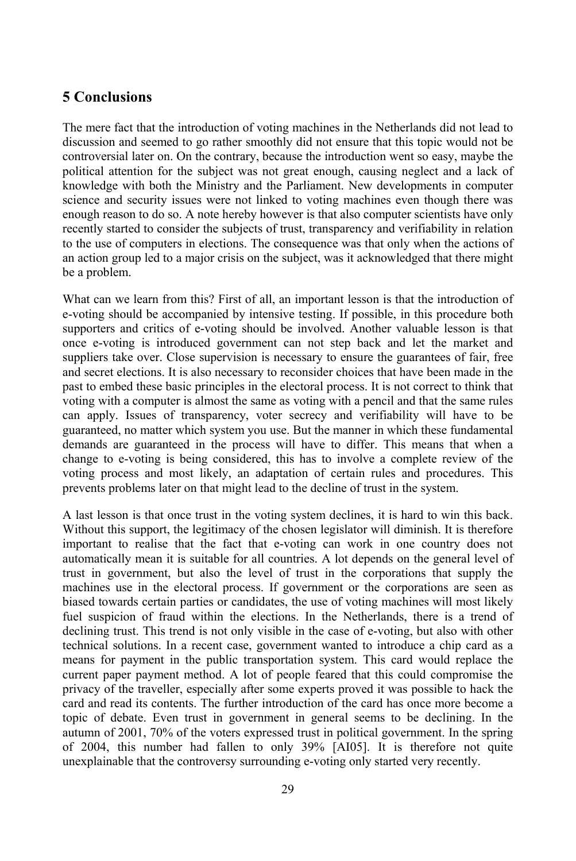# **Conclusions**

The mere fact that the introduction of voting machines in the Netherlands did not lead to discussion and seemed to go rather smoothly did not ensure that this topic would not be controversial later on. On the contrary, because the introduction went so easy, maybe the political attention for the subject was not great enough, causing neglect and a lack of knowledge with both the Ministry and the Parliament. New developments in computer science and security issues were not linked to voting machines even though there was enough reason to do so. A note hereby however is that also computer scientists have only recently started to consider the subjects of trust, transparency and verifiability in relation to the use of computers in elections. The consequence was that only when the actions of an action group led to a major crisis on the subject, was it acknowledged that there might be a problem.

What can we learn from this? First of all, an important lesson is that the introduction of e-voting should be accompanied by intensive testing. If possible, in this procedure both supporters and critics of e-voting should be involved. Another valuable lesson is that once e-voting is introduced government can not step back and let the market and suppliers take over. Close supervision is necessary to ensure the guarantees of fair, free and secret elections. It is also necessary to reconsider choices that have been made in the past to embed these basic principles in the electoral process. It is not correct to think that voting with a computer is almost the same as voting with a pencil and that the same rules can apply. Issues of transparency, voter secrecy and verifiability will have to be guaranteed, no matter which system you use. But the manner in which these fundamental demands are guaranteed in the process will have to differ. This means that when a change to e-voting is being considered, this has to involve a complete review of the voting process and most likely, an adaptation of certain rules and procedures. This prevents problems later on that might lead to the decline of trust in the system.

A last lesson is that once trust in the voting system declines, it is hard to win this back. Without this support, the legitimacy of the chosen legislator will diminish. It is therefore important to realise that the fact that e-voting can work in one country does not automatically mean it is suitable for all countries. A lot depends on the general level of trust in government, but also the level of trust in the corporations that supply the machines use in the electoral process. If government or the corporations are seen as biased towards certain parties or candidates, the use of voting machines will most likely fuel suspicion of fraud within the elections. In the Netherlands, there is a trend of declining trust. This trend is not only visible in the case of e-voting, but also with other technical solutions. In a recent case, government wanted to introduce a chip card as a means for payment in the public transportation system. This card would replace the current paper payment method. A lot of people feared that this could compromise the privacy of the traveller, especially after some experts proved it was possible to hack the card and read its contents. The further introduction of the card has once more become a topic of debate. Even trust in government in general seems to be declining. In the autumn of 2001, 70% of the voters expressed trust in political government. In the spring of 2004, this number had fallen to only 39% [AI05]. It is therefore not quite unexplainable that the controversy surrounding e-voting only started very recently.